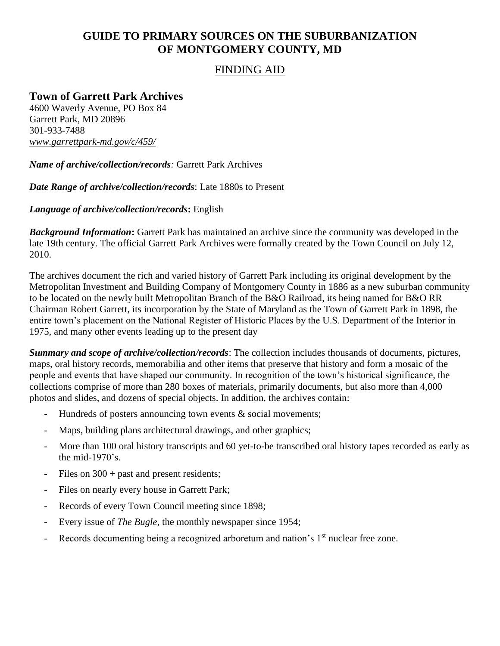# **GUIDE TO PRIMARY SOURCES ON THE SUBURBANIZATION OF MONTGOMERY COUNTY, MD**

### FINDING AID

# **Town of Garrett Park Archives**

4600 Waverly Avenue, PO Box 84 Garrett Park, MD 20896 301-933-7488 *www.garrettpark-md.gov/c/459/* 

*Name of archive/collection/records:* Garrett Park Archives

*Date Range of archive/collection/records*: Late 1880s to Present

*Language of archive/collection/records***:** English

*Background Information***:** Garrett Park has maintained an archive since the community was developed in the late 19th century. The official Garrett Park Archives were formally created by the Town Council on July 12, 2010.

The archives document the rich and varied history of Garrett Park including its original development by the Metropolitan Investment and Building Company of Montgomery County in 1886 as a new suburban community to be located on the newly built Metropolitan Branch of the B&O Railroad, its being named for B&O RR Chairman Robert Garrett, its incorporation by the State of Maryland as the Town of Garrett Park in 1898, the entire town's placement on the National Register of Historic Places by the U.S. Department of the Interior in 1975, and many other events leading up to the present day

*Summary and scope of archive/collection/records*: The collection includes thousands of documents, pictures, maps, oral history records, memorabilia and other items that preserve that history and form a mosaic of the people and events that have shaped our community. In recognition of the town's historical significance, the collections comprise of more than 280 boxes of materials, primarily documents, but also more than 4,000 photos and slides, and dozens of special objects. In addition, the archives contain:

- Hundreds of posters announcing town events & social movements;
- Maps, building plans architectural drawings, and other graphics;
- More than 100 oral history transcripts and 60 yet-to-be transcribed oral history tapes recorded as early as the mid-1970's.
- Files on  $300 +$  past and present residents;
- Files on nearly every house in Garrett Park;
- Records of every Town Council meeting since 1898;
- Every issue of *The Bugle*, the monthly newspaper since 1954;
- Records documenting being a recognized arboretum and nation's 1<sup>st</sup> nuclear free zone.